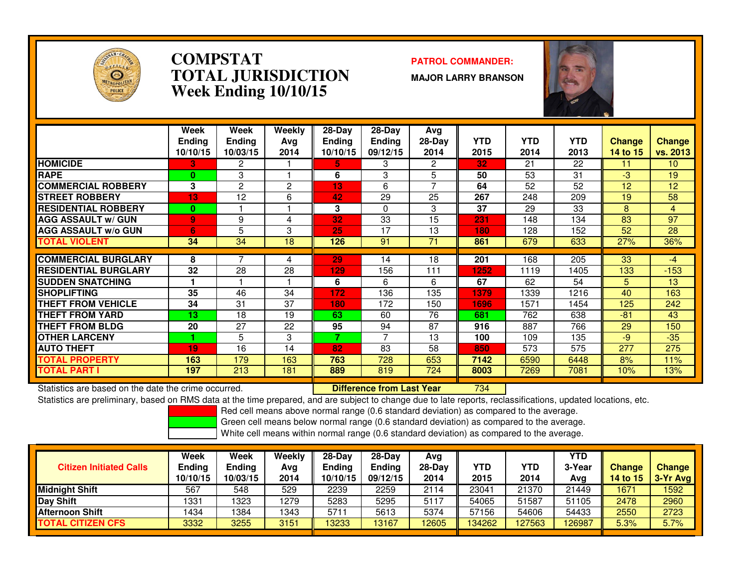

### **COMPSTAT PATROL COMMANDER: TOTAL JURISDICTIONWeek Ending 10/10/15**

**MAJOR LARRY BRANSON**



|                             | Week<br><b>Ending</b><br>10/10/15 | Week<br><b>Ending</b><br>10/03/15 | Weekly<br>Ava<br>2014 | $28-Dav$<br><b>Ending</b><br>10/10/15 | $28-Day$<br><b>Ending</b><br>09/12/15 | Avg<br>$28-Day$<br>2014 | <b>YTD</b><br>2015 | <b>YTD</b><br>2014 | <b>YTD</b><br>2013 | <b>Change</b><br>14 to 15 | <b>Change</b><br>vs. 2013 |
|-----------------------------|-----------------------------------|-----------------------------------|-----------------------|---------------------------------------|---------------------------------------|-------------------------|--------------------|--------------------|--------------------|---------------------------|---------------------------|
| <b>HOMICIDE</b>             | 3                                 | 2                                 |                       | 5.                                    | 3                                     | 2                       | 32                 | 21                 | 22                 | 11                        | 10 <sup>°</sup>           |
| <b>RAPE</b>                 | 0                                 | 3                                 |                       | 6                                     | 3                                     | 5                       | 50                 | 53                 | 31                 | -3                        | 19                        |
| <b>COMMERCIAL ROBBERY</b>   | 3                                 | 2                                 | 2                     | 13                                    | 6                                     | $\overline{ }$          | 64                 | 52                 | 52                 | 12                        | 12                        |
| <b>STREET ROBBERY</b>       | 13                                | 12                                | 6                     | 42                                    | 29                                    | 25                      | 267                | 248                | 209                | 19                        | 58                        |
| <b>RESIDENTIAL ROBBERY</b>  | $\mathbf{0}$                      |                                   |                       | 3                                     | $\Omega$                              | 3                       | 37                 | 29                 | 33                 | 8                         | $\overline{4}$            |
| <b>AGG ASSAULT w/ GUN</b>   | 9                                 | 9                                 | 4                     | 32                                    | $\overline{33}$                       | 15                      | 231                | 148                | 134                | 83                        | 97                        |
| <b>AGG ASSAULT w/o GUN</b>  | 6                                 | 5                                 | 3                     | 25                                    | 17                                    | 13                      | 180                | 128                | 152                | 52                        | 28                        |
| <b>TOTAL VIOLENT</b>        | 34                                | 34                                | 18                    | 126                                   | 91                                    | 71                      | 861                | 679                | 633                | 27%                       | 36%                       |
|                             |                                   |                                   |                       |                                       |                                       |                         |                    |                    |                    |                           |                           |
| <b>COMMERCIAL BURGLARY</b>  | 8                                 |                                   | 4                     | 29                                    | 14                                    | 18                      | 201                | 168                | 205                | 33                        | -4                        |
| <b>RESIDENTIAL BURGLARY</b> | 32                                | 28                                | 28                    | 129                                   | 156                                   | 111                     | 1252               | 1119               | 1405               | 133                       | $-153$                    |
| <b>SUDDEN SNATCHING</b>     |                                   |                                   |                       | 6                                     | 6                                     | 6                       | 67                 | 62                 | 54                 | 5.                        | 13                        |
| <b>SHOPLIFTING</b>          | 35                                | 46                                | 34                    | 172                                   | 136                                   | 135                     | 1379               | 1339               | 1216               | 40                        | 163                       |
| <b>THEFT FROM VEHICLE</b>   | 34                                | 31                                | 37                    | 180                                   | 172                                   | 150                     | 1696               | 1571               | 1454               | 125                       | 242                       |
| <b>THEFT FROM YARD</b>      | 13                                | 18                                | 19                    | 63                                    | 60                                    | 76                      | 681                | 762                | 638                | $-81$                     | 43                        |
| <b>THEFT FROM BLDG</b>      | 20                                | 27                                | 22                    | 95                                    | 94                                    | 87                      | 916                | 887                | 766                | 29                        | 150                       |
| <b>OTHER LARCENY</b>        |                                   | 5                                 | 3                     | 7                                     | 7                                     | 13                      | 100                | 109                | 135                | -9                        | $-35$                     |
| <b>AUTO THEFT</b>           | 19                                | 16                                | 14                    | 82                                    | 83                                    | 58                      | 850                | 573                | 575                | 277                       | 275                       |
| TOTAL PROPERTY              | 163                               | 179                               | 163                   | 763                                   | 728                                   | 653                     | 7142               | 6590               | 6448               | 8%                        | 11%                       |
| <b>TOTAL PART I</b>         | 197                               | 213                               | 181                   | 889                                   | 819                                   | 724                     | 8003               | 7269               | 7081               | 10%                       | 13%                       |

Statistics are based on the date the crime occurred. **Difference from Last Year** 

Statistics are based on the date the crime occurred. **Interpree the Statistic Liberary Conducts are conducts a**<br>Statistics are preliminary, based on RMS data at the time prepared, and are subject to change due to late repo

Red cell means above normal range (0.6 standard deviation) as compared to the average.

Green cell means below normal range (0.6 standard deviation) as compared to the average.

| <b>Citizen Initiated Calls</b> | Week<br><b>Ending</b><br>10/10/15 | Week<br><b>Ending</b><br>10/03/15 | Weekly<br>Avg<br>2014 | $28-Dav$<br><b>Ending</b><br>10/10/15 | $28-Day$<br><b>Ending</b><br>09/12/15 | Avg<br>$28-Day$<br>2014 | YTD<br>2015 | YTD<br>2014 | <b>YTD</b><br>3-Year<br>Avg | <b>Change</b><br>14 to $15$ | <b>Change</b><br>$3-Yr$ Avg |
|--------------------------------|-----------------------------------|-----------------------------------|-----------------------|---------------------------------------|---------------------------------------|-------------------------|-------------|-------------|-----------------------------|-----------------------------|-----------------------------|
| <b>Midnight Shift</b>          | 567                               | 548                               | 529                   | 2239                                  | 2259                                  | 2114                    | 23041       | 21370       | 21449                       | 1671                        | 1592                        |
| Day Shift                      | 1331                              | 323                               | 1279                  | 5283                                  | 5295                                  | 5117                    | 54065       | 51587       | 51105                       | 2478                        | 2960                        |
| <b>Afternoon Shift</b>         | 1434                              | 384                               | 1343                  | 5711                                  | 5613                                  | 5374                    | 57156       | 54606       | 54433                       | 2550                        | 2723                        |
| <b>TOTAL CITIZEN CFS</b>       | 3332                              | 3255                              | 3151                  | 13233                                 | 13167                                 | 12605                   | 134262      | 127563      | 126987                      | 5.3%                        | 5.7%                        |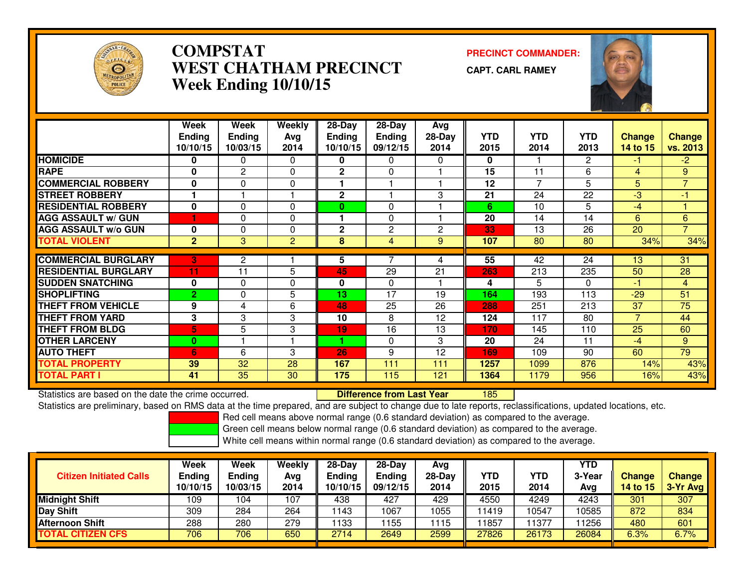

# **COMPSTAT PRECINCT COMMANDER: WEST CHATHAM PRECINCTWeek Ending 10/10/15**

**CAPT. CARL RAMEY**



|                             | Week           | Week           | <b>Weekly</b>  | $28 - Day$    | $28 - Day$    | Avg      |            |                |                 |                |                |
|-----------------------------|----------------|----------------|----------------|---------------|---------------|----------|------------|----------------|-----------------|----------------|----------------|
|                             | <b>Ending</b>  | <b>Ending</b>  | Avg            | <b>Ending</b> | <b>Ending</b> | $28-Day$ | <b>YTD</b> | <b>YTD</b>     | <b>YTD</b>      | <b>Change</b>  | <b>Change</b>  |
|                             | 10/10/15       | 10/03/15       | 2014           | 10/10/15      | 09/12/15      | 2014     | 2015       | 2014           | 2013            | 14 to 15       | vs. 2013       |
| <b>HOMICIDE</b>             | 0              | 0              | $\Omega$       | 0             | 0             | 0        | 0          |                | $\mathbf{2}$    | $-1$           | $-2$           |
| <b>RAPE</b>                 | $\bf{0}$       | $\overline{2}$ | $\Omega$       | $\mathbf{2}$  | 0             |          | 15         | 11             | 6               | $\overline{4}$ | 9              |
| <b>COMMERCIAL ROBBERY</b>   | $\bf{0}$       | $\Omega$       | 0              |               |               |          | 12         | $\overline{ }$ | 5               | 5              | $\overline{7}$ |
| <b>STREET ROBBERY</b>       |                |                |                | $\mathbf{2}$  |               | 3        | 21         | 24             | 22              | -3             | -1             |
| <b>RESIDENTIAL ROBBERY</b>  | $\mathbf 0$    | $\Omega$       | $\Omega$       | $\bf{0}$      | $\Omega$      |          | 6          | 10             | 5               | $-4$           |                |
| <b>AGG ASSAULT W/ GUN</b>   |                | $\Omega$       | $\Omega$       |               | $\mathbf{0}$  |          | 20         | 14             | 14              | 6              | 6              |
| <b>AGG ASSAULT w/o GUN</b>  | $\bf{0}$       | 0              | $\Omega$       | $\mathbf 2$   | 2             | 2        | 33         | 13             | 26              | 20             | $\overline{7}$ |
| <b>TOTAL VIOLENT</b>        | $\overline{2}$ | 3              | $\overline{2}$ | 8             | 4             | 9        | 107        | 80             | 80              | 34%            | 34%            |
|                             |                |                |                |               |               |          |            |                |                 |                |                |
| <b>COMMERCIAL BURGLARY</b>  | 3              | $\overline{2}$ |                | 5             | 7             | 4        | 55         | 42             | $\overline{24}$ | 13             | 31             |
| <b>RESIDENTIAL BURGLARY</b> | 11             | 11             | 5              | 45            | 29            | 21       | 263        | 213            | 235             | 50             | 28             |
| <b>SUDDEN SNATCHING</b>     | 0              | 0              | $\Omega$       | 0             | $\Omega$      |          | 4          | 5.             | $\Omega$        | -1             | $\overline{4}$ |
| <b>SHOPLIFTING</b>          | $\overline{2}$ | 0              | 5              | 13            | 17            | 19       | 164        | 193            | 113             | $-29$          | 51             |
| <b>THEFT FROM VEHICLE</b>   | 9              | 4              | 6              | 48            | 25            | 26       | 288        | 251            | 213             | 37             | 75             |
| <b>THEFT FROM YARD</b>      | 3              | 3              | 3              | 10            | 8             | 12       | 124        | 117            | 80              | $\overline{7}$ | 44             |
| <b>THEFT FROM BLDG</b>      | 5              | 5              | 3              | 19            | 16            | 13       | 170        | 145            | 110             | 25             | 60             |
| <b>OTHER LARCENY</b>        | $\bf{0}$       |                |                | 4.            | $\Omega$      | 3        | 20         | 24             | 11              | $-4$           | 9              |
| <b>AUTO THEFT</b>           | 6              | 6              | 3              | 26            | 9             | 12       | 169        | 109            | 90              | 60             | 79             |
| <b>TOTAL PROPERTY</b>       | 39             | 32             | 28             | 167           | 111           | 111      | 1257       | 1099           | 876             | 14%            | 43%            |
| <b>TOTAL PART I</b>         | 41             | 35             | 30             | 175           | 115           | 121      | 1364       | 1179           | 956             | 16%            | 43%            |

Statistics are based on the date the crime occurred. **Difference from Last Year**  <sup>185</sup>Statistics are preliminary, based on RMS data at the time prepared, and are subject to change due to late reports, reclassifications, updated locations, etc.

Red cell means above normal range (0.6 standard deviation) as compared to the average.

Green cell means below normal range (0.6 standard deviation) as compared to the average.

| <b>Citizen Initiated Calls</b> | Week<br><b>Ending</b><br>10/10/15 | Week<br><b>Ending</b><br>10/03/15 | Weekly<br>Avg<br>2014 | $28-Dav$<br>Ending<br>10/10/15 | $28-Day$<br><b>Ending</b><br>09/12/15 | Avg<br>$28-Day$<br>2014 | YTD<br>2015 | <b>YTD</b><br>2014 | YTD<br>3-Year<br>Avg | <b>Change</b><br>14 to 15 | <b>Change</b><br>3-Yr Avg |
|--------------------------------|-----------------------------------|-----------------------------------|-----------------------|--------------------------------|---------------------------------------|-------------------------|-------------|--------------------|----------------------|---------------------------|---------------------------|
| <b>Midnight Shift</b>          | 109                               | 104                               | 107                   | 438                            | 427                                   | 429                     | 4550        | 4249               | 4243                 | 301                       | 307                       |
| <b>Day Shift</b>               | 309                               | 284                               | 264                   | 1143                           | 1067                                  | 1055                    | 11419       | 0547               | 10585                | 872                       | 834                       |
| <b>Afternoon Shift</b>         | 288                               | 280                               | 279                   | 133                            | 155                                   | 1115                    | 11857       | 1377               | 1256                 | 480                       | 601                       |
| <b>TOTAL CITIZEN CFS</b>       | 706                               | 706                               | 650                   | 2714                           | 2649                                  | 2599                    | 27826       | 26173              | 26084                | 6.3%                      | 6.7%                      |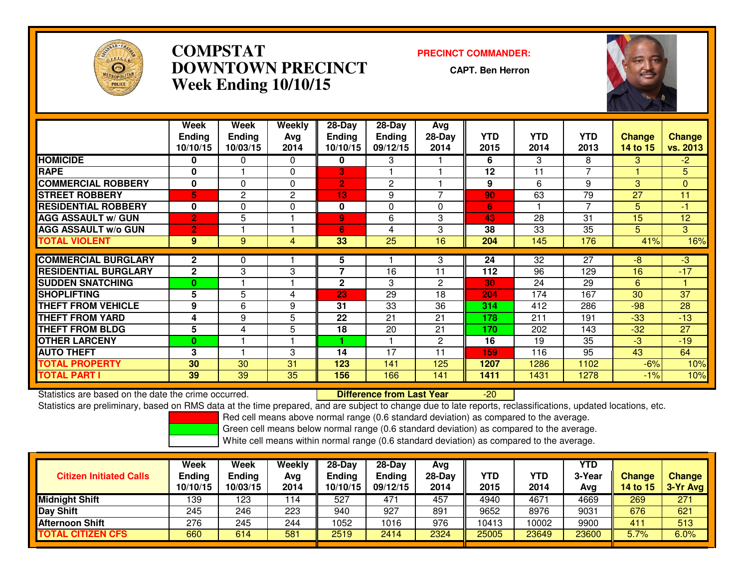

# **COMPSTAT PRECINCT COMMANDER: DOWNTOWN PRECINCTWeek Ending 10/10/15**

**CAPT. Ben Herron**



|                             | Week           | Week          | Weekly   | $28 - Day$     | $28 - Day$    | <b>Avg</b>   |      |                 |                 |               |               |
|-----------------------------|----------------|---------------|----------|----------------|---------------|--------------|------|-----------------|-----------------|---------------|---------------|
|                             | <b>Ending</b>  | <b>Ending</b> | Avg      | <b>Ending</b>  | <b>Ending</b> | $28-Day$     | YTD  | <b>YTD</b>      | <b>YTD</b>      | <b>Change</b> | <b>Change</b> |
|                             | 10/10/15       | 10/03/15      | 2014     | 10/10/15       | 09/12/15      | 2014         | 2015 | 2014            | 2013            | 14 to 15      | vs. 2013      |
| <b>HOMICIDE</b>             | $\bf{0}$       | 0             | $\Omega$ | 0              | 3             |              | 6    | 3               | 8               | 3             | $-2$          |
| <b>RAPE</b>                 | 0              |               | $\Omega$ | 3              |               |              | 12   | 11              | $\overline{ }$  |               | 5             |
| <b>COMMERCIAL ROBBERY</b>   | 0              | 0             | $\Omega$ | $\overline{2}$ | 2             |              | 9    | 6               | 9               | 3             | 0             |
| <b>STREET ROBBERY</b>       | 5.             | 2             | 2        | 13             | 9             |              | 90   | 63              | 79              | 27            | 11            |
| <b>RESIDENTIAL ROBBERY</b>  | $\mathbf 0$    | $\Omega$      | $\Omega$ | 0              | $\Omega$      | 0            | 6    |                 | $\overline{7}$  | 5             | -1            |
| <b>AGG ASSAULT w/ GUN</b>   | $\overline{2}$ | 5             |          | 9              | 6             | 3            | 43   | 28              | 31              | 15            | 12            |
| <b>AGG ASSAULT w/o GUN</b>  | $\overline{2}$ |               |          | 6              | 4             | 3            | 38   | 33              | 35              | 5.            | 3             |
| <b>TOTAL VIOLENT</b>        | 9              | 9             | 4        | 33             | 25            | 16           | 204  | 145             | 176             | 41%           | 16%           |
|                             |                |               |          |                |               |              |      |                 |                 |               |               |
| <b>COMMERCIAL BURGLARY</b>  | $\mathbf{2}$   | 0             |          | 5              |               | 3            | 24   | $\overline{32}$ | $\overline{27}$ | -8            | $-3$          |
| <b>RESIDENTIAL BURGLARY</b> | $\mathbf{2}$   | 3             | 3        | 7              | 16            | 11           | 112  | 96              | 129             | 16            | $-17$         |
| <b>SUDDEN SNATCHING</b>     | $\bf{0}$       |               |          | $\mathbf{2}$   | 3             | $\mathbf{2}$ | 30   | 24              | 29              | 6             |               |
| <b>SHOPLIFTING</b>          | 5              | 5             | 4        | 23             | 29            | 18           | 204  | 174             | 167             | 30            | 37            |
| <b>THEFT FROM VEHICLE</b>   | 9              | 6             | 9        | 31             | 33            | 36           | 314  | 412             | 286             | $-98$         | 28            |
| <b>THEFT FROM YARD</b>      | 4              | 9             | 5        | 22             | 21            | 21           | 178  | 211             | 191             | $-33$         | $-13$         |
| <b>THEFT FROM BLDG</b>      | 5              | 4             | 5        | 18             | 20            | 21           | 170  | 202             | 143             | $-32$         | 27            |
| <b>OTHER LARCENY</b>        | $\bf{0}$       |               |          |                |               | $\mathbf{2}$ | 16   | 19              | 35              | $-3$          | $-19$         |
| <b>AUTO THEFT</b>           | 3              |               | 3        | 14             | 17            | 11           | 159  | 116             | 95              | 43            | 64            |
| <b>TOTAL PROPERTY</b>       | 30             | 30            | 31       | 123            | 141           | 125          | 1207 | 1286            | 1102            | $-6%$         | 10%           |
| <b>TOTAL PART I</b>         | 39             | 39            | 35       | 156            | 166           | 141          | 1411 | 1431            | 1278            | $-1%$         | 10%           |

Statistics are based on the date the crime occurred. **Difference from Last Year**  -20Statistics are preliminary, based on RMS data at the time prepared, and are subject to change due to late reports, reclassifications, updated locations, etc.

Red cell means above normal range (0.6 standard deviation) as compared to the average.

Green cell means below normal range (0.6 standard deviation) as compared to the average.

| <b>Citizen Initiated Calls</b> | Week<br><b>Ending</b><br>10/10/15 | Week<br><b>Ending</b><br>10/03/15 | Weekly<br>Avg<br>2014 | $28-Dav$<br>Ending<br>10/10/15 | $28-Day$<br><b>Ending</b><br>09/12/15 | Avg<br>$28-Day$<br>2014 | YTD<br>2015 | <b>YTD</b><br>2014 | YTD<br>3-Year<br>Avg | <b>Change</b><br>14 to 15 | <b>Change</b><br>3-Yr Avg |
|--------------------------------|-----------------------------------|-----------------------------------|-----------------------|--------------------------------|---------------------------------------|-------------------------|-------------|--------------------|----------------------|---------------------------|---------------------------|
| <b>Midnight Shift</b>          | 139                               | 123                               | 114                   | 527                            | 47'                                   | 457                     | 4940        | 4671               | 4669                 | 269                       | 271                       |
| <b>Day Shift</b>               | 245                               | 246                               | 223                   | 940                            | 927                                   | 891                     | 9652        | 8976               | 9031                 | 676                       | 621                       |
| Afternoon Shift                | 276                               | 245                               | 244                   | 1052                           | 1016                                  | 976                     | 10413       | 0002               | 9900                 | 411                       | 513                       |
| <b>TOTAL CITIZEN CFS</b>       | 660                               | 614                               | 581                   | 2519                           | 2414                                  | 2324                    | 25005       | 23649              | 23600                | 5.7%                      | 6.0%                      |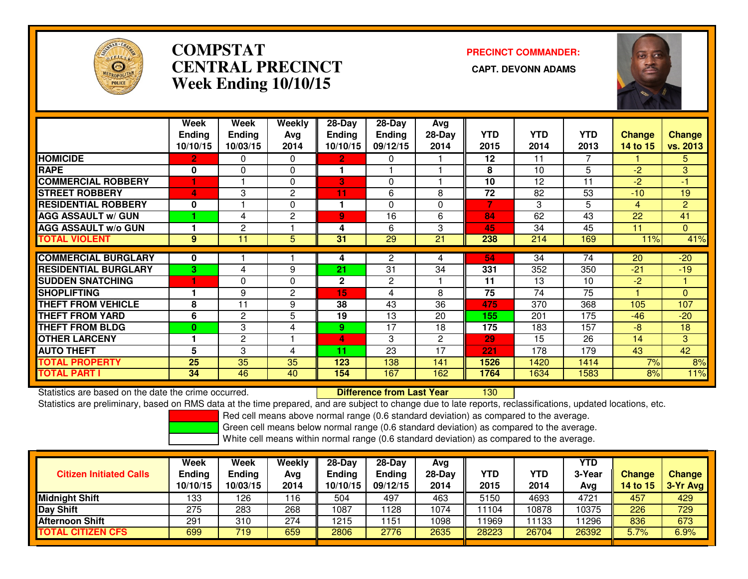

# **COMPSTATCENTRAL PRECINCT Week Ending 10/10/15**

**PRECINCT COMMANDER:**



|                             | Week          | Week           | Weekly         | 28-Day        | $28-Day$      | Avg      |            |            |      |                 |                 |
|-----------------------------|---------------|----------------|----------------|---------------|---------------|----------|------------|------------|------|-----------------|-----------------|
|                             | <b>Ending</b> | <b>Ending</b>  | Ava            | <b>Ending</b> | <b>Ending</b> | $28-Day$ | <b>YTD</b> | <b>YTD</b> | YTD  | Change          | <b>Change</b>   |
|                             | 10/10/15      | 10/03/15       | 2014           | 10/10/15      | 09/12/15      | 2014     | 2015       | 2014       | 2013 | <b>14 to 15</b> | <b>vs. 2013</b> |
| <b>HOMICIDE</b>             | 2             | 0              | $\Omega$       | $\mathbf{2}$  | 0             |          | 12         | 11         | 7    |                 | 5               |
| <b>RAPE</b>                 | 0             | 0              | $\Omega$       |               |               |          | 8          | 10         | 5    | $-2$            | 3               |
| <b>COMMERCIAL ROBBERY</b>   |               |                | $\Omega$       | 3             | 0             |          | 10         | 12         | 11   | $-2$            | -1              |
| <b>STREET ROBBERY</b>       | 4             | 3              | 2              | 11            | 6             | 8        | 72         | 82         | 53   | $-10$           | 19              |
| <b>RESIDENTIAL ROBBERY</b>  | 0             |                | $\mathbf{0}$   | 1             | 0             | 0        | 7          | 3          | 5    | 4               | $\overline{2}$  |
| <b>AGG ASSAULT W/ GUN</b>   |               | 4              | $\overline{2}$ | 9             | 16            | 6        | 84         | 62         | 43   | 22              | 41              |
| <b>AGG ASSAULT w/o GUN</b>  |               | $\overline{c}$ |                | 4             | 6             | 3        | 45         | 34         | 45   | 11              | $\overline{0}$  |
| <b>TOTAL VIOLENT</b>        | 9             | 11             | 5              | 31            | 29            | 21       | 238        | 214        | 169  | 11%             | 41%             |
|                             |               |                |                |               |               |          |            |            |      |                 |                 |
| <b>COMMERCIAL BURGLARY</b>  | 0             |                |                | 4             | 2             | 4        | 54         | 34         | 74   | 20              | $-20$           |
| <b>RESIDENTIAL BURGLARY</b> | 3             | 4              | 9              | 21            | 31            | 34       | 331        | 352        | 350  | $-21$           | $-19$           |
| <b>SUDDEN SNATCHING</b>     |               | 0              | $\mathbf{0}$   | 2             | 2             |          | 11         | 13         | 10   | $-2$            |                 |
| <b>ISHOPLIFTING</b>         |               | 9              | $\overline{2}$ | 15            | 4             | 8        | 75         | 74         | 75   |                 | $\Omega$        |
| <b>THEFT FROM VEHICLE</b>   | 8             | 11             | 9              | 38            | 43            | 36       | 475        | 370        | 368  | 105             | 107             |
| <b>THEFT FROM YARD</b>      | 6             | $\mathbf{2}$   | 5              | 19            | 13            | 20       | 155        | 201        | 175  | $-46$           | $-20$           |
| <b>THEFT FROM BLDG</b>      | $\bf{0}$      | 3              | 4              | 9.            | 17            | 18       | 175        | 183        | 157  | $-8$            | 18              |
| <b>OTHER LARCENY</b>        |               | $\mathbf{2}$   |                | 4             | 3             | 2        | 29         | 15         | 26   | 14              | 3               |
| <b>AUTO THEFT</b>           | 5             | 3              | 4              | 11            | 23            | 17       | 221        | 178        | 179  | 43              | 42              |
| <b>TOTAL PROPERTY</b>       | 25            | 35             | 35             | 123           | 138           | 141      | 1526       | 1420       | 1414 | 7%              | 8%              |
| <b>TOTAL PART I</b>         | 34            | 46             | 40             | 154           | 167           | 162      | 1764       | 1634       | 1583 | 8%              | 11%             |

Statistics are based on the date the crime occurred. **Difference from Last Year** 

Statistics are based on the date the crime occurred. **Exerce the Lub of Lifterence from Last Year Net alter and S**<br>Statistics are preliminary, based on RMS data at the time prepared, and are subject to change due to late r

Red cell means above normal range (0.6 standard deviation) as compared to the average.

Green cell means below normal range (0.6 standard deviation) as compared to the average.

| <b>Citizen Initiated Calls</b> | Week<br><b>Ending</b><br>10/10/15 | Week<br>Ending<br>10/03/15 | Weekly<br>Avg<br>2014 | 28-Day<br><b>Ending</b><br>10/10/15 | $28-Dav$<br><b>Ending</b><br>09/12/15 | Ava<br>$28-Day$<br>2014 | <b>YTD</b><br>2015 | YTD<br>2014 | YTD<br>3-Year<br>Avg | <b>Change</b><br>14 to $15$ | <b>Change</b><br>3-Yr Avg |
|--------------------------------|-----------------------------------|----------------------------|-----------------------|-------------------------------------|---------------------------------------|-------------------------|--------------------|-------------|----------------------|-----------------------------|---------------------------|
| Midnight Shift                 | 133                               | 126                        | 116                   | 504                                 | 497                                   | 463                     | 5150               | 4693        | 4721                 | 457                         | 429                       |
| Day Shift                      | 275                               | 283                        | 268                   | 1087                                | 128                                   | 1074                    | 11104              | 10878       | 10375                | 226                         | 729                       |
| Afternoon Shift                | 291                               | 310                        | 274                   | 1215                                | 151                                   | 1098                    | 11969              | 1133        | 11296                | 836                         | 673                       |
| <b>TOTAL CITIZEN CFS</b>       | 699                               | 719                        | 659                   | 2806                                | 2776                                  | 2635                    | 28223              | 26704       | 26392                | 5.7%                        | 6.9%                      |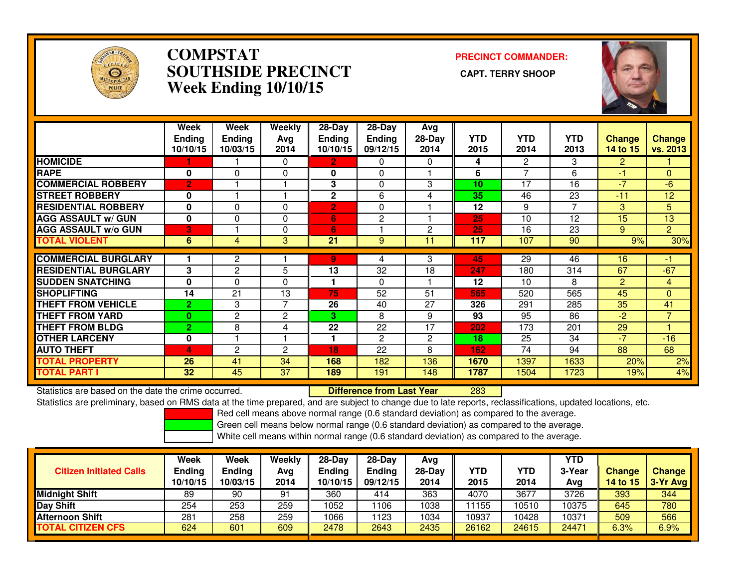

### **COMPSTAT PRECINCT COMMANDER: SOUTHSIDE PRECINCT CAPT. TERRY SHOOPWeek Ending 10/10/15**



|                             | Week<br><b>Ending</b><br>10/10/15 | Week<br><b>Ending</b><br>10/03/15 | Weekly<br>Avg<br>2014 | $28-Day$<br><b>Ending</b><br>10/10/15 | $28-Day$<br><b>Ending</b><br>09/12/15 | Avg<br>$28-Day$<br>2014 | <b>YTD</b><br>2015 | <b>YTD</b><br>2014       | <b>YTD</b><br>2013 | <b>Change</b><br>14 to 15 | <b>Change</b><br>vs. 2013 |
|-----------------------------|-----------------------------------|-----------------------------------|-----------------------|---------------------------------------|---------------------------------------|-------------------------|--------------------|--------------------------|--------------------|---------------------------|---------------------------|
| <b>HOMICIDE</b>             |                                   |                                   | 0                     | 2.                                    | 0                                     | 0                       | 4                  | $\overline{2}$           | 3                  | $\overline{2}$            |                           |
| <b>RAPE</b>                 | $\bf{0}$                          | $\Omega$                          | 0                     | 0                                     | 0                                     |                         | 6                  | $\overline{\phantom{a}}$ | 6                  | -1                        | $\Omega$                  |
| <b>COMMERCIAL ROBBERY</b>   | $\overline{2}$                    |                                   |                       | 3                                     | $\Omega$                              | 3                       | 10                 | 17                       | 16                 | $-7$                      | $-6$                      |
| <b>ISTREET ROBBERY</b>      | 0                                 |                                   |                       | $\mathbf 2$                           | 6                                     | 4                       | 35                 | 46                       | 23                 | $-11$                     | 12                        |
| <b>RESIDENTIAL ROBBERY</b>  | $\mathbf 0$                       | $\Omega$                          | $\Omega$              | $\overline{2}$                        | 0                                     |                         | 12                 | 9                        | $\overline{ }$     | 3                         | 5                         |
| <b>AGG ASSAULT w/ GUN</b>   | $\mathbf 0$                       | $\Omega$                          | $\Omega$              | 6                                     | $\overline{2}$                        |                         | 25                 | 10                       | 12                 | 15                        | 13                        |
| <b>AGG ASSAULT w/o GUN</b>  | 3                                 |                                   | $\Omega$              | 6                                     |                                       | 2                       | 25                 | 16                       | 23                 | 9                         | $\overline{2}$            |
| <b>TOTAL VIOLENT</b>        | 6                                 | 4                                 | 3                     | 21                                    | 9                                     | 11                      | 117                | 107                      | 90                 | 9%                        | 30%                       |
| <b>COMMERCIAL BURGLARY</b>  |                                   | $\overline{2}$                    |                       | 9                                     | 4                                     | 3                       | 45                 | 29                       | 46                 | 16                        | 41                        |
| <b>RESIDENTIAL BURGLARY</b> | 3                                 | $\mathbf{2}$                      | 5                     | 13                                    | 32                                    | 18                      | 247                | 180                      | 314                | 67                        | $-67$                     |
| <b>SUDDEN SNATCHING</b>     | $\bf{0}$                          | $\Omega$                          | $\Omega$              | 1                                     | $\Omega$                              |                         | 12                 | 10                       | 8                  | $\overline{2}$            | 4                         |
| <b>SHOPLIFTING</b>          | 14                                | $\overline{21}$                   | 13                    | 75                                    | 52                                    | 51                      | 565                | 520                      | 565                | 45                        | $\Omega$                  |
| <b>THEFT FROM VEHICLE</b>   | $\overline{2}$                    | 3                                 | 7                     | 26                                    | 40                                    | 27                      | 326                | 291                      | 285                | 35                        | 41                        |
| <b>THEFT FROM YARD</b>      | $\bf{0}$                          | 2                                 | 2                     | 3                                     | 8                                     | 9                       | 93                 | 95                       | 86                 | $-2$                      | $\overline{7}$            |
| <b>THEFT FROM BLDG</b>      | $\overline{2}$                    | 8                                 | 4                     | 22                                    | 22                                    | 17                      | 202                | 173                      | 201                | 29                        |                           |
| <b>OTHER LARCENY</b>        | 0                                 |                                   |                       | 1                                     | 2                                     | $\overline{c}$          | 18                 | $\overline{25}$          | 34                 | $-7$                      | $-16$                     |
| <b>AUTO THEFT</b>           | 4                                 | $\overline{2}$                    | 2                     | 18                                    | 22                                    | 8                       | 162                | 74                       | 94                 | 88                        | 68                        |
| <b>TOTAL PROPERTY</b>       | 26                                | 41                                | 34                    | 168                                   | 182                                   | 136                     | 1670               | 1397                     | 1633               | 20%                       | 2%                        |
| <b>TOTAL PART I</b>         | 32 <sub>2</sub>                   | 45                                | 37                    | 189                                   | 191                                   | 148                     | 1787               | 1504                     | 1723               | 19%                       | 4%                        |

Statistics are based on the date the crime occurred. **Difference from Last Year** 

<sup>283</sup>

Statistics are preliminary, based on RMS data at the time prepared, and are subject to change due to late reports, reclassifications, updated locations, etc.

Red cell means above normal range (0.6 standard deviation) as compared to the average.

Green cell means below normal range (0.6 standard deviation) as compared to the average.

| <b>Citizen Initiated Calls</b> | <b>Week</b><br><b>Ending</b><br>10/10/15 | <b>Week</b><br><b>Ending</b><br>10/03/15 | Weekly<br>Avg<br>2014 | $28-Dav$<br><b>Ending</b><br>10/10/15 | $28-Dav$<br><b>Ending</b><br>09/12/15 | Ava<br>28-Dav<br>2014 | YTD<br>2015 | YTD<br>2014 | YTD<br>3-Year<br>Ava | <b>Change</b><br><b>14 to 15</b> | <b>Change</b><br>3-Yr Avg |
|--------------------------------|------------------------------------------|------------------------------------------|-----------------------|---------------------------------------|---------------------------------------|-----------------------|-------------|-------------|----------------------|----------------------------------|---------------------------|
| <b>Midnight Shift</b>          | 89                                       | 90                                       | 91                    | 360                                   | 414                                   | 363                   | 4070        | 3677        | 3726                 | 393                              | 344                       |
| <b>Day Shift</b>               | 254                                      | 253                                      | 259                   | 1052                                  | 106                                   | 1038                  | 11155       | 10510       | 10375                | 645                              | 780                       |
| <b>Afternoon Shift</b>         | 281                                      | 258                                      | 259                   | 1066                                  | l 123                                 | 1034                  | 10937       | 10428       | 10371                | 509                              | 566                       |
| <b>TOTAL CITIZEN CFS</b>       | 624                                      | 601                                      | 609                   | 2478                                  | 2643                                  | 2435                  | 26162       | 24615       | 24471                | 6.3%                             | 6.9%                      |